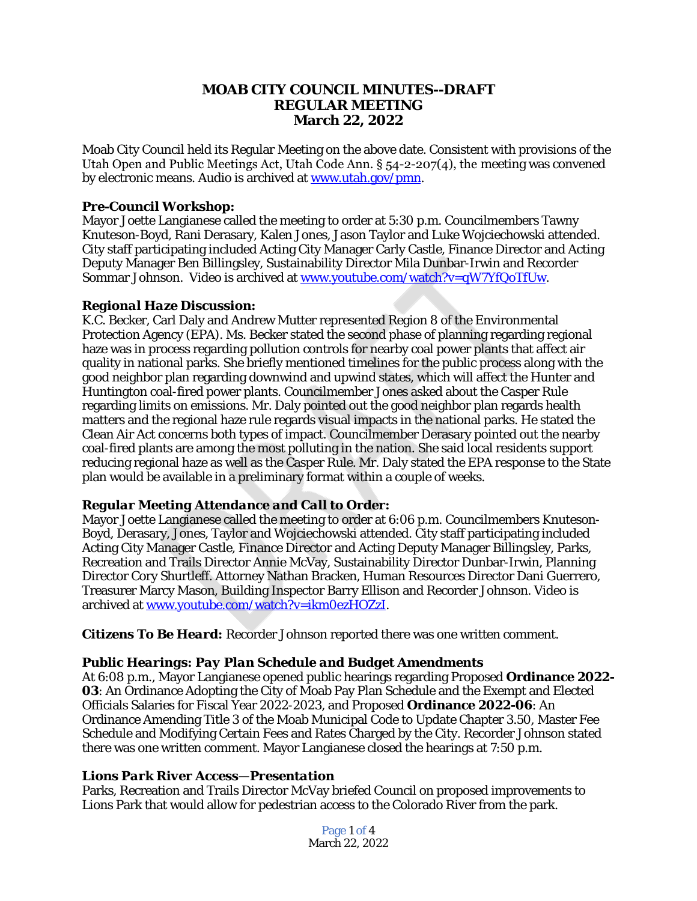## **MOAB CITY COUNCIL MINUTES--DRAFT REGULAR MEETING March 22, 2022**

Moab City Council held its Regular Meeting on the above date. Consistent with provisions of the Utah Open and Public Meetings Act, Utah Code Ann. § 54-2-207(4), the meeting was convened by electronic means. Audio is archived at [www.utah.gov/pmn.](file:///C:\\Users\\etallman\\Desktop\\Minutes\\www.utah.gov\\pmn)

#### *Pre-Council Workshop:*

Mayor Joette Langianese called the meeting to order at 5:30 p.m. Councilmembers Tawny Knuteson-Boyd, Rani Derasary, Kalen Jones, Jason Taylor and Luke Wojciechowski attended. City staff participating included Acting City Manager Carly Castle, Finance Director and Acting Deputy Manager Ben Billingsley, Sustainability Director Mila Dunbar-Irwin and Recorder Sommar Johnson. Video is archived at [www.youtube.com/watch?v=qW7YfQoTfUw.](http://www.youtube.com/watch?v=qW7YfQoTfUw)

### *Regional Haze Discussion:*

K.C. Becker, Carl Daly and Andrew Mutter represented Region 8 of the Environmental Protection Agency (EPA). Ms. Becker stated the second phase of planning regarding regional haze was in process regarding pollution controls for nearby coal power plants that affect air quality in national parks. She briefly mentioned timelines for the public process along with the good neighbor plan regarding downwind and upwind states, which will affect the Hunter and Huntington coal-fired power plants. Councilmember Jones asked about the Casper Rule regarding limits on emissions. Mr. Daly pointed out the good neighbor plan regards health matters and the regional haze rule regards visual impacts in the national parks. He stated the Clean Air Act concerns both types of impact. Councilmember Derasary pointed out the nearby coal-fired plants are among the most polluting in the nation. She said local residents support reducing regional haze as well as the Casper Rule. Mr. Daly stated the EPA response to the State plan would be available in a preliminary format within a couple of weeks.

# *Regular Meeting Attendance and Call to Order:*

Mayor Joette Langianese called the meeting to order at 6:06 p.m. Councilmembers Knuteson-Boyd, Derasary, Jones, Taylor and Wojciechowski attended. City staff participating included Acting City Manager Castle, Finance Director and Acting Deputy Manager Billingsley, Parks, Recreation and Trails Director Annie McVay, Sustainability Director Dunbar-Irwin, Planning Director Cory Shurtleff. Attorney Nathan Bracken, Human Resources Director Dani Guerrero, Treasurer Marcy Mason, Building Inspector Barry Ellison and Recorder Johnson. Video is archived at [www.youtube.com/watch?v=ikm0ezHOZzI](file:///C:\\Users\\etallman\\Desktop\\Minutes\\www.youtube.com\\watch%3fv=ikm0ezHOZzI).

*Citizens To Be Heard:* Recorder Johnson reported there was one written comment.

#### *Public Hearings: Pay Plan Schedule and Budget Amendments*

At 6:08 p.m., Mayor Langianese opened public hearings regarding Proposed **Ordinance 2022- 03**: An Ordinance Adopting the City of Moab Pay Plan Schedule and the Exempt and Elected Officials Salaries for Fiscal Year 2022-2023, and Proposed **Ordinance 2022-06**: An Ordinance Amending Title 3 of the Moab Municipal Code to Update Chapter 3.50, Master Fee Schedule and Modifying Certain Fees and Rates Charged by the City. Recorder Johnson stated there was one written comment. Mayor Langianese closed the hearings at 7:50 p.m.

#### *Lions Park River Access—Presentation*

Parks, Recreation and Trails Director McVay briefed Council on proposed improvements to Lions Park that would allow for pedestrian access to the Colorado River from the park.

> Page 1 of 4 March 22, 2022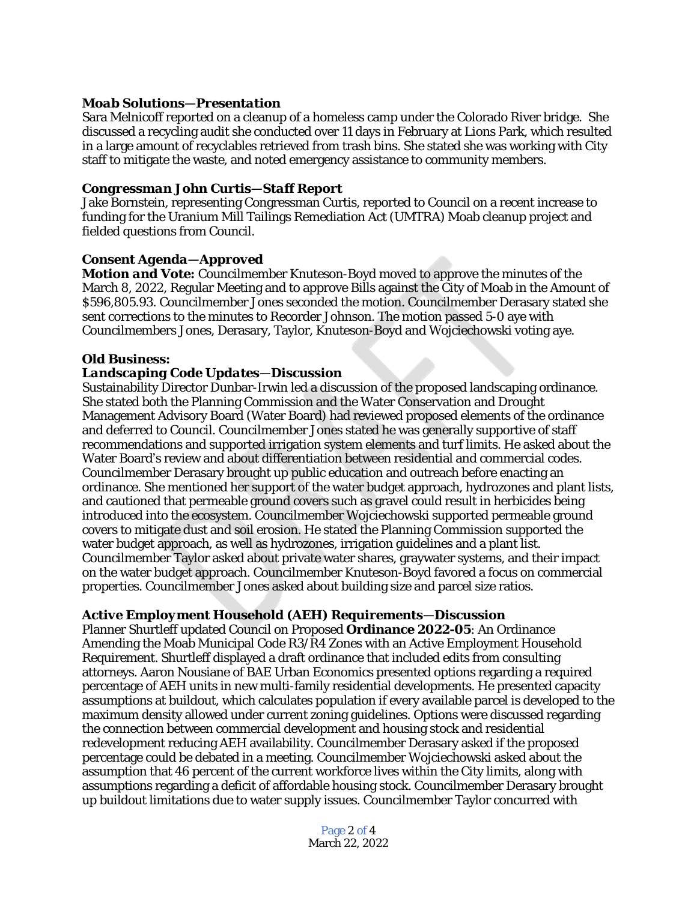### *Moab Solutions—Presentation*

Sara Melnicoff reported on a cleanup of a homeless camp under the Colorado River bridge. She discussed a recycling audit she conducted over 11 days in February at Lions Park, which resulted in a large amount of recyclables retrieved from trash bins. She stated she was working with City staff to mitigate the waste, and noted emergency assistance to community members.

#### *Congressman John Curtis—Staff Report*

Jake Bornstein, representing Congressman Curtis, reported to Council on a recent increase to funding for the Uranium Mill Tailings Remediation Act (UMTRA) Moab cleanup project and fielded questions from Council.

### *Consent Agenda—Approved*

*Motion and Vote:* Councilmember Knuteson-Boyd moved to approve the minutes of the March 8, 2022, Regular Meeting and to approve Bills against the City of Moab in the Amount of \$596,805.93. Councilmember Jones seconded the motion. Councilmember Derasary stated she sent corrections to the minutes to Recorder Johnson. The motion passed 5-0 aye with Councilmembers Jones, Derasary, Taylor, Knuteson-Boyd and Wojciechowski voting aye.

### *Old Business:*

#### *Landscaping Code Updates—Discussion*

Sustainability Director Dunbar-Irwin led a discussion of the proposed landscaping ordinance. She stated both the Planning Commission and the Water Conservation and Drought Management Advisory Board (Water Board) had reviewed proposed elements of the ordinance and deferred to Council. Councilmember Jones stated he was generally supportive of staff recommendations and supported irrigation system elements and turf limits. He asked about the Water Board's review and about differentiation between residential and commercial codes. Councilmember Derasary brought up public education and outreach before enacting an ordinance. She mentioned her support of the water budget approach, hydrozones and plant lists, and cautioned that permeable ground covers such as gravel could result in herbicides being introduced into the ecosystem. Councilmember Wojciechowski supported permeable ground covers to mitigate dust and soil erosion. He stated the Planning Commission supported the water budget approach, as well as hydrozones, irrigation guidelines and a plant list. Councilmember Taylor asked about private water shares, graywater systems, and their impact on the water budget approach. Councilmember Knuteson-Boyd favored a focus on commercial properties. Councilmember Jones asked about building size and parcel size ratios.

# *Active Employment Household (AEH) Requirements—Discussion*

Planner Shurtleff updated Council on Proposed **Ordinance 2022-05**: An Ordinance Amending the Moab Municipal Code R3/R4 Zones with an Active Employment Household Requirement. Shurtleff displayed a draft ordinance that included edits from consulting attorneys. Aaron Nousiane of BAE Urban Economics presented options regarding a required percentage of AEH units in new multi-family residential developments. He presented capacity assumptions at buildout, which calculates population if every available parcel is developed to the maximum density allowed under current zoning guidelines. Options were discussed regarding the connection between commercial development and housing stock and residential redevelopment reducing AEH availability. Councilmember Derasary asked if the proposed percentage could be debated in a meeting. Councilmember Wojciechowski asked about the assumption that 46 percent of the current workforce lives within the City limits, along with assumptions regarding a deficit of affordable housing stock. Councilmember Derasary brought up buildout limitations due to water supply issues. Councilmember Taylor concurred with

> Page 2 of 4 March 22, 2022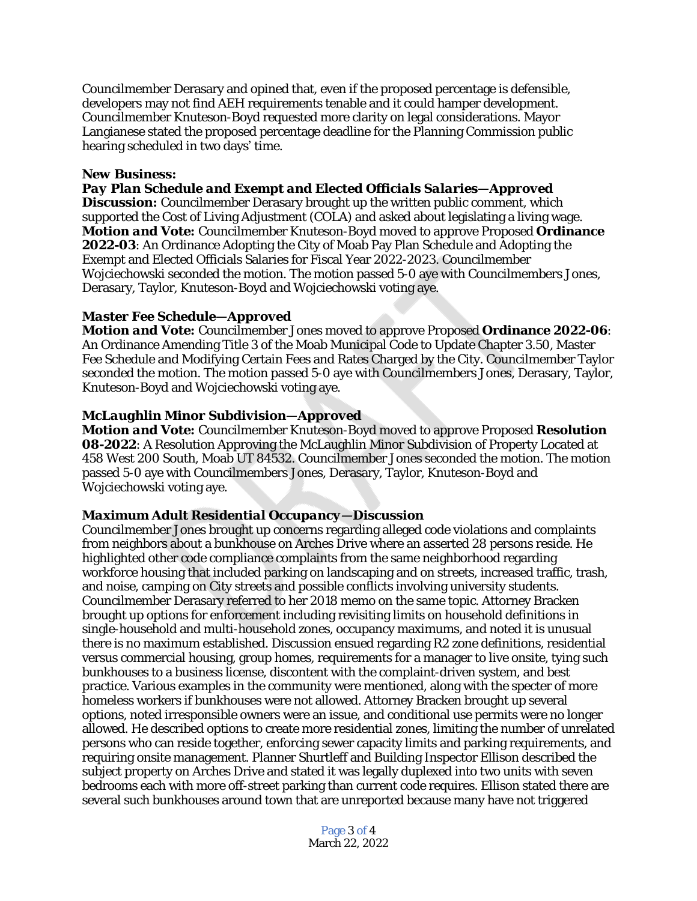Councilmember Derasary and opined that, even if the proposed percentage is defensible, developers may not find AEH requirements tenable and it could hamper development. Councilmember Knuteson-Boyd requested more clarity on legal considerations. Mayor Langianese stated the proposed percentage deadline for the Planning Commission public hearing scheduled in two days' time.

#### *New Business:*

*Pay Plan Schedule and Exempt and Elected Officials Salaries—Approved* **Discussion:** Councilmember Derasary brought up the written public comment, which supported the Cost of Living Adjustment (COLA) and asked about legislating a living wage. *Motion and Vote:* Councilmember Knuteson-Boyd moved to approve Proposed **Ordinance** 

**2022-03**: An Ordinance Adopting the City of Moab Pay Plan Schedule and Adopting the Exempt and Elected Officials Salaries for Fiscal Year 2022-2023. Councilmember Wojciechowski seconded the motion. The motion passed 5-0 aye with Councilmembers Jones, Derasary, Taylor, Knuteson-Boyd and Wojciechowski voting aye.

### *Master Fee Schedule—Approved*

*Motion and Vote:* Councilmember Jones moved to approve Proposed **Ordinance 2022-06**: An Ordinance Amending Title 3 of the Moab Municipal Code to Update Chapter 3.50, Master Fee Schedule and Modifying Certain Fees and Rates Charged by the City. Councilmember Taylor seconded the motion. The motion passed 5-0 aye with Councilmembers Jones, Derasary, Taylor, Knuteson-Boyd and Wojciechowski voting aye.

### *McLaughlin Minor Subdivision—Approved*

*Motion and Vote:* Councilmember Knuteson-Boyd moved to approve Proposed **Resolution 08-2022**: A Resolution Approving the McLaughlin Minor Subdivision of Property Located at 458 West 200 South, Moab UT 84532. Councilmember Jones seconded the motion. The motion passed 5-0 aye with Councilmembers Jones, Derasary, Taylor, Knuteson-Boyd and Wojciechowski voting aye.

#### *Maximum Adult Residential Occupancy—Discussion*

Councilmember Jones brought up concerns regarding alleged code violations and complaints from neighbors about a bunkhouse on Arches Drive where an asserted 28 persons reside. He highlighted other code compliance complaints from the same neighborhood regarding workforce housing that included parking on landscaping and on streets, increased traffic, trash, and noise, camping on City streets and possible conflicts involving university students. Councilmember Derasary referred to her 2018 memo on the same topic. Attorney Bracken brought up options for enforcement including revisiting limits on household definitions in single-household and multi-household zones, occupancy maximums, and noted it is unusual there is no maximum established. Discussion ensued regarding R2 zone definitions, residential versus commercial housing, group homes, requirements for a manager to live onsite, tying such bunkhouses to a business license, discontent with the complaint-driven system, and best practice. Various examples in the community were mentioned, along with the specter of more homeless workers if bunkhouses were not allowed. Attorney Bracken brought up several options, noted irresponsible owners were an issue, and conditional use permits were no longer allowed. He described options to create more residential zones, limiting the number of unrelated persons who can reside together, enforcing sewer capacity limits and parking requirements, and requiring onsite management. Planner Shurtleff and Building Inspector Ellison described the subject property on Arches Drive and stated it was legally duplexed into two units with seven bedrooms each with more off-street parking than current code requires. Ellison stated there are several such bunkhouses around town that are unreported because many have not triggered

> Page 3 of 4 March 22, 2022